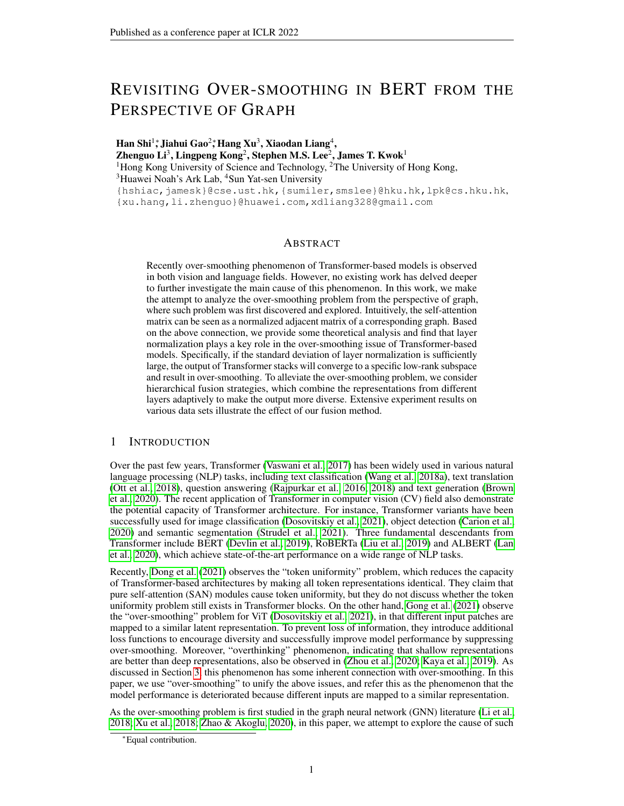# REVISITING OVER-SMOOTHING IN BERT FROM THE PERSPECTIVE OF GRAPH

Han Shi $^1$ ; Jiahui Gao $^2$ ; Hang Xu $^3$ , Xiaodan Liang $^4,$ Zhenguo Li $^3$ , Lingpeng Kong $^2$ , Stephen M.S. Lee $^2$ , James T. Kwok $^1$ <sup>1</sup>Hong Kong University of Science and Technology, <sup>2</sup>The University of Hong Kong, <sup>3</sup>Huawei Noah's Ark Lab, <sup>4</sup>Sun Yat-sen University {hshiac,jamesk}@cse.ust.hk,{sumiler,smslee}@hku.hk,lpk@cs.hku.hk, {xu.hang,li.zhenguo}@huawei.com,xdliang328@gmail.com

## **ABSTRACT**

Recently over-smoothing phenomenon of Transformer-based models is observed in both vision and language fields. However, no existing work has delved deeper to further investigate the main cause of this phenomenon. In this work, we make the attempt to analyze the over-smoothing problem from the perspective of graph, where such problem was first discovered and explored. Intuitively, the self-attention matrix can be seen as a normalized adjacent matrix of a corresponding graph. Based on the above connection, we provide some theoretical analysis and find that layer normalization plays a key role in the over-smoothing issue of Transformer-based models. Specifically, if the standard deviation of layer normalization is sufficiently large, the output of Transformer stacks will converge to a specific low-rank subspace and result in over-smoothing. To alleviate the over-smoothing problem, we consider hierarchical fusion strategies, which combine the representations from different layers adaptively to make the output more diverse. Extensive experiment results on various data sets illustrate the effect of our fusion method.

## 1 INTRODUCTION

Over the past few years, Transformer [\(Vaswani et al., 2017\)](#page-10-0) has been widely used in various natural language processing (NLP) tasks, including text classification [\(Wang et al., 2018a\)](#page-10-1), text translation [\(Ott et al., 2018\)](#page-10-2), question answering [\(Rajpurkar et al., 2016;](#page-10-3) [2018\)](#page-10-4) and text generation [\(Brown](#page-9-0) [et al., 2020\)](#page-9-0). The recent application of Transformer in computer vision (CV) field also demonstrate the potential capacity of Transformer architecture. For instance, Transformer variants have been successfully used for image classification [\(Dosovitskiy et al., 2021\)](#page-9-1), object detection [\(Carion et al.,](#page-9-2) [2020\)](#page-9-2) and semantic segmentation [\(Strudel et al., 2021\)](#page-10-5). Three fundamental descendants from Transformer include BERT [\(Devlin et al., 2019\)](#page-9-3), RoBERTa [\(Liu et al., 2019\)](#page-10-6) and ALBERT [\(Lan](#page-9-4) [et al., 2020\)](#page-9-4), which achieve state-of-the-art performance on a wide range of NLP tasks.

Recently, [Dong et al.](#page-9-5) [\(2021\)](#page-9-5) observes the "token uniformity" problem, which reduces the capacity of Transformer-based architectures by making all token representations identical. They claim that pure self-attention (SAN) modules cause token uniformity, but they do not discuss whether the token uniformity problem still exists in Transformer blocks. On the other hand, [Gong et al.](#page-9-6) [\(2021\)](#page-9-6) observe the "over-smoothing" problem for ViT [\(Dosovitskiy et al., 2021\)](#page-9-1), in that different input patches are mapped to a similar latent representation. To prevent loss of information, they introduce additional loss functions to encourage diversity and successfully improve model performance by suppressing over-smoothing. Moreover, "overthinking" phenomenon, indicating that shallow representations are better than deep representations, also be observed in [\(Zhou et al., 2020;](#page-11-0) [Kaya et al., 2019\)](#page-9-7). As discussed in Section [3,](#page-2-0) this phenomenon has some inherent connection with over-smoothing. In this paper, we use "over-smoothing" to unify the above issues, and refer this as the phenomenon that the model performance is deteriorated because different inputs are mapped to a similar representation.

As the over-smoothing problem is first studied in the graph neural network (GNN) literature [\(Li et al.,](#page-10-7) [2018;](#page-10-7) [Xu et al., 2018;](#page-11-1) [Zhao & Akoglu, 2020\)](#page-11-2), in this paper, we attempt to explore the cause of such

<sup>∗</sup>Equal contribution.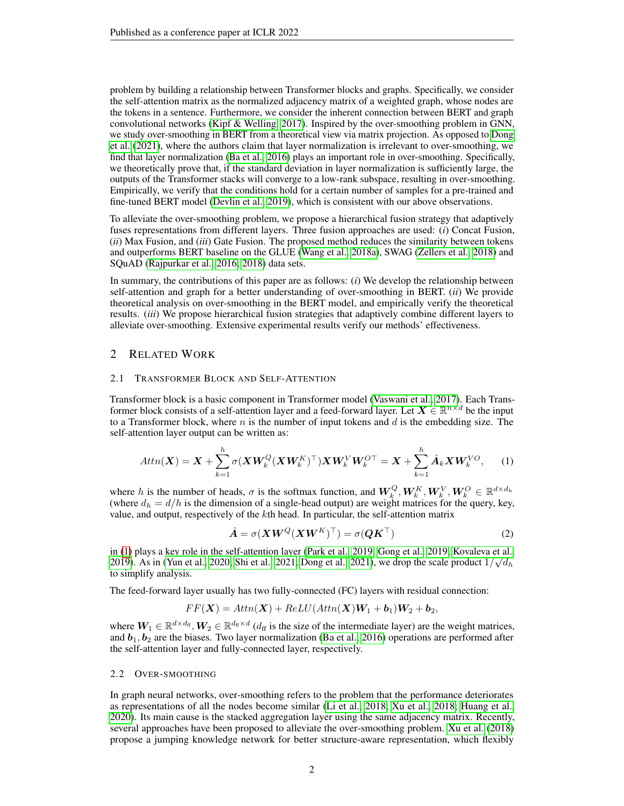problem by building a relationship between Transformer blocks and graphs. Specifically, we consider the self-attention matrix as the normalized adjacency matrix of a weighted graph, whose nodes are the tokens in a sentence. Furthermore, we consider the inherent connection between BERT and graph convolutional networks [\(Kipf & Welling, 2017\)](#page-9-8). Inspired by the over-smoothing problem in GNN, we study over-smoothing in BERT from a theoretical view via matrix projection. As opposed to [Dong](#page-9-5) [et al.](#page-9-5) [\(2021\)](#page-9-5), where the authors claim that layer normalization is irrelevant to over-smoothing, we find that layer normalization [\(Ba et al., 2016\)](#page-9-9) plays an important role in over-smoothing. Specifically, we theoretically prove that, if the standard deviation in layer normalization is sufficiently large, the outputs of the Transformer stacks will converge to a low-rank subspace, resulting in over-smoothing. Empirically, we verify that the conditions hold for a certain number of samples for a pre-trained and fine-tuned BERT model [\(Devlin et al., 2019\)](#page-9-3), which is consistent with our above observations.

To alleviate the over-smoothing problem, we propose a hierarchical fusion strategy that adaptively fuses representations from different layers. Three fusion approaches are used: (*i*) Concat Fusion, (*ii*) Max Fusion, and (*iii*) Gate Fusion. The proposed method reduces the similarity between tokens and outperforms BERT baseline on the GLUE [\(Wang et al., 2018a\)](#page-10-1), SWAG [\(Zellers et al., 2018\)](#page-11-3) and SQuAD [\(Rajpurkar et al., 2016;](#page-10-3) [2018\)](#page-10-4) data sets.

In summary, the contributions of this paper are as follows: (*i*) We develop the relationship between self-attention and graph for a better understanding of over-smoothing in BERT. (*ii*) We provide theoretical analysis on over-smoothing in the BERT model, and empirically verify the theoretical results. (*iii*) We propose hierarchical fusion strategies that adaptively combine different layers to alleviate over-smoothing. Extensive experimental results verify our methods' effectiveness.

## 2 RELATED WORK

#### <span id="page-1-3"></span>2.1 TRANSFORMER BLOCK AND SELF-ATTENTION

Transformer block is a basic component in Transformer model [\(Vaswani et al., 2017\)](#page-10-0). Each Transformer block consists of a self-attention layer and a feed-forward layer. Let  $X \in \mathbb{R}^{n \times d}$  be the input to a Transformer block, where  $n$  is the number of input tokens and  $d$  is the embedding size. The self-attention layer output can be written as:

$$
Attn(\boldsymbol{X}) = \boldsymbol{X} + \sum_{k=1}^{h} \sigma(\boldsymbol{X}\boldsymbol{W}_{k}^{Q}(\boldsymbol{X}\boldsymbol{W}_{k}^{K})^{\top})\boldsymbol{X}\boldsymbol{W}_{k}^{V}\boldsymbol{W}_{k}^{O\top} = \boldsymbol{X} + \sum_{k=1}^{h} \hat{\boldsymbol{A}}_{k}\boldsymbol{X}\boldsymbol{W}_{k}^{VO}, \qquad (1)
$$

where h is the number of heads,  $\sigma$  is the softmax function, and  $W_k^Q, W_k^K, W_k^V, W_k^O \in \mathbb{R}^{d \times d_h}$ (where  $d_h = d/h$  is the dimension of a single-head output) are weight matrices for the query, key, value, and output, respectively of the kth head. In particular, the self-attention matrix

<span id="page-1-1"></span><span id="page-1-0"></span>
$$
\hat{A} = \sigma(XW^Q(XW^K)^{\top}) = \sigma(QK^{\top})
$$
\n(2)

in [\(1\)](#page-1-0) plays a key role in the self-attention layer [\(Park et al., 2019;](#page-10-8) [Gong et al., 2019;](#page-9-10) [Kovaleva et al.,](#page-9-11) √ [2019\)](#page-9-11). As in [\(Yun et al., 2020;](#page-11-4) [Shi et al., 2021;](#page-10-9) [Dong et al., 2021\)](#page-9-5), we drop the scale product  $1/\sqrt{d_h}$ to simplify analysis.

The feed-forward layer usually has two fully-connected (FC) layers with residual connection:

$$
FF(\boldsymbol{X}) = Attn(\boldsymbol{X}) + ReLU(Attn(\boldsymbol{X})\boldsymbol{W}_1 + \boldsymbol{b}_1)\boldsymbol{W}_2 + \boldsymbol{b}_2,
$$

where  $W_1 \in \mathbb{R}^{d \times d_{\text{ff}}}, W_2 \in \mathbb{R}^{d_{\text{ff}} \times d}$  ( $d_{\text{ff}}$  is the size of the intermediate layer) are the weight matrices, and  $b_1, b_2$  are the biases. Two layer normalization [\(Ba et al., 2016\)](#page-9-9) operations are performed after the self-attention layer and fully-connected layer, respectively.

#### <span id="page-1-2"></span>2.2 OVER-SMOOTHING

In graph neural networks, over-smoothing refers to the problem that the performance deteriorates as representations of all the nodes become similar [\(Li et al., 2018;](#page-10-7) [Xu et al., 2018;](#page-11-1) [Huang et al.,](#page-9-12) [2020\)](#page-9-12). Its main cause is the stacked aggregation layer using the same adjacency matrix. Recently, several approaches have been proposed to alleviate the over-smoothing problem. [Xu et al.](#page-11-1) [\(2018\)](#page-11-1) propose a jumping knowledge network for better structure-aware representation, which flexibly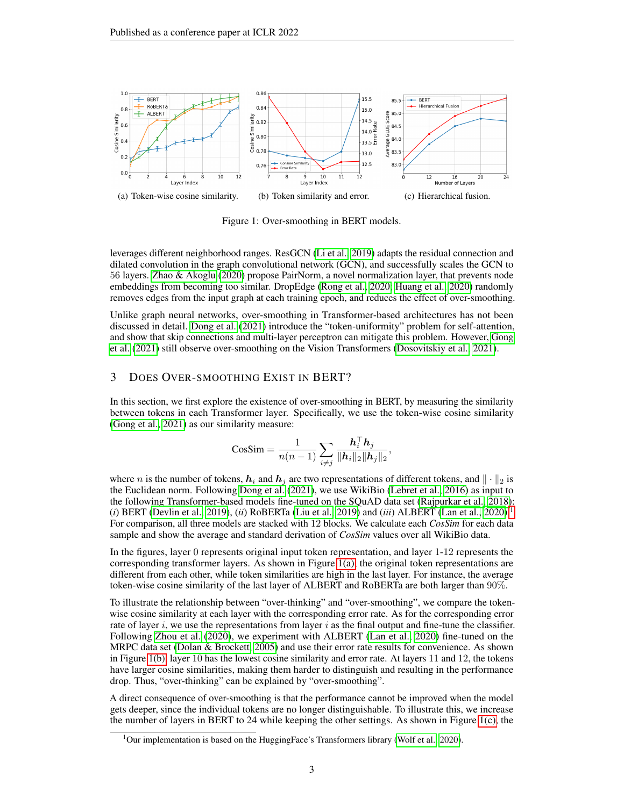<span id="page-2-2"></span>

<span id="page-2-4"></span><span id="page-2-3"></span>Figure 1: Over-smoothing in BERT models.

leverages different neighborhood ranges. ResGCN [\(Li et al., 2019\)](#page-10-10) adapts the residual connection and dilated convolution in the graph convolutional network (GCN), and successfully scales the GCN to 56 layers. [Zhao & Akoglu](#page-11-2) [\(2020\)](#page-11-2) propose PairNorm, a novel normalization layer, that prevents node embeddings from becoming too similar. DropEdge [\(Rong et al., 2020;](#page-10-11) [Huang et al., 2020\)](#page-9-12) randomly removes edges from the input graph at each training epoch, and reduces the effect of over-smoothing.

Unlike graph neural networks, over-smoothing in Transformer-based architectures has not been discussed in detail. [Dong et al.](#page-9-5) [\(2021\)](#page-9-5) introduce the "token-uniformity" problem for self-attention, and show that skip connections and multi-layer perceptron can mitigate this problem. However, [Gong](#page-9-6) [et al.](#page-9-6) [\(2021\)](#page-9-6) still observe over-smoothing on the Vision Transformers [\(Dosovitskiy et al., 2021\)](#page-9-1).

## <span id="page-2-0"></span>3 DOES OVER-SMOOTHING EXIST IN BERT?

In this section, we first explore the existence of over-smoothing in BERT, by measuring the similarity between tokens in each Transformer layer. Specifically, we use the token-wise cosine similarity [\(Gong et al., 2021\)](#page-9-6) as our similarity measure:

$$
\text{CosSim} = \frac{1}{n(n-1)} \sum_{i \neq j} \frac{\mathbf{h}_i^{\top} \mathbf{h}_j}{\|\mathbf{h}_i\|_2 \|\mathbf{h}_j\|_2},
$$

where n is the number of tokens,  $h_i$  and  $h_j$  are two representations of different tokens, and  $\|\cdot\|_2$  is the Euclidean norm. Following [Dong et al.](#page-9-5) [\(2021\)](#page-9-5), we use WikiBio [\(Lebret et al., 2016\)](#page-10-12) as input to the following Transformer-based models fine-tuned on the SQuAD data set [\(Rajpurkar et al., 2018\)](#page-10-4):  $(i)$  BERT [\(Devlin et al., 2019\)](#page-9-3),  $(ii)$  RoBERTa [\(Liu et al., 2019\)](#page-10-6) and  $(iii)$  ALBERT [\(Lan et al., 2020\)](#page-9-4).<sup>[1](#page-2-1)</sup> For comparison, all three models are stacked with 12 blocks. We calculate each *CosSim* for each data sample and show the average and standard derivation of *CosSim* values over all WikiBio data.

In the figures, layer 0 represents original input token representation, and layer 1-12 represents the corresponding transformer layers. As shown in Figure [1\(a\),](#page-2-2) the original token representations are different from each other, while token similarities are high in the last layer. For instance, the average token-wise cosine similarity of the last layer of ALBERT and RoBERTa are both larger than 90%.

To illustrate the relationship between "over-thinking" and "over-smoothing", we compare the tokenwise cosine similarity at each layer with the corresponding error rate. As for the corresponding error rate of layer i, we use the representations from layer i as the final output and fine-tune the classifier. Following [Zhou et al.](#page-11-0) [\(2020\)](#page-11-0), we experiment with ALBERT [\(Lan et al., 2020\)](#page-9-4) fine-tuned on the MRPC data set [\(Dolan & Brockett, 2005\)](#page-9-13) and use their error rate results for convenience. As shown in Figure [1\(b\),](#page-2-3) layer 10 has the lowest cosine similarity and error rate. At layers 11 and 12, the tokens have larger cosine similarities, making them harder to distinguish and resulting in the performance drop. Thus, "over-thinking" can be explained by "over-smoothing".

A direct consequence of over-smoothing is that the performance cannot be improved when the model gets deeper, since the individual tokens are no longer distinguishable. To illustrate this, we increase the number of layers in BERT to 24 while keeping the other settings. As shown in Figure [1\(c\),](#page-2-4) the

<span id="page-2-1"></span><sup>&</sup>lt;sup>1</sup>Our implementation is based on the HuggingFace's Transformers library [\(Wolf et al., 2020\)](#page-11-5).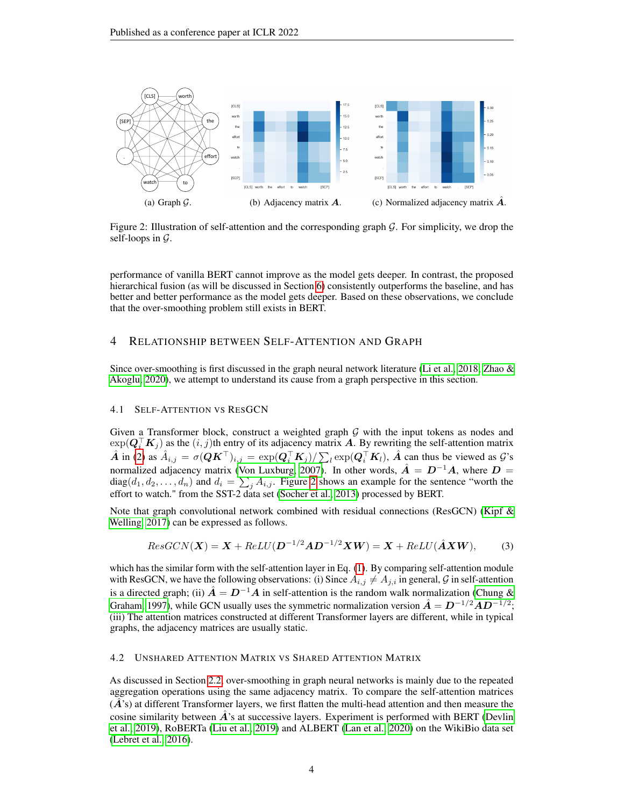

<span id="page-3-0"></span>Figure 2: Illustration of self-attention and the corresponding graph  $\mathcal G$ . For simplicity, we drop the self-loops in  $\mathcal{G}$ .

performance of vanilla BERT cannot improve as the model gets deeper. In contrast, the proposed hierarchical fusion (as will be discussed in Section [6\)](#page-6-0) consistently outperforms the baseline, and has better and better performance as the model gets deeper. Based on these observations, we conclude that the over-smoothing problem still exists in BERT.

## 4 RELATIONSHIP BETWEEN SELF-ATTENTION AND GRAPH

Since over-smoothing is first discussed in the graph neural network literature [\(Li et al., 2018;](#page-10-7) [Zhao &](#page-11-2) [Akoglu, 2020\)](#page-11-2), we attempt to understand its cause from a graph perspective in this section.

## <span id="page-3-1"></span>4.1 SELF-ATTENTION VS RESGCN

Given a Transformer block, construct a weighted graph  $G$  with the input tokens as nodes and  $\exp(\bm{Q}_i^\top\bm{K}_j)$  as the  $(i, j)$ th entry of its adjacency matrix  $\bm{A}$ . By rewriting the self-attention matrix  $\hat{A}$  in [\(2\)](#page-1-1) as  $\hat{A}_{i,j} = \sigma(QK^{\top})_{i,j} = \exp(Q_i^{\top}K_j)/\sum_l \exp(Q_i^{\top}K_l)$ ,  $\hat{A}$  can thus be viewed as  $\mathcal{G}$ 's normalized adjacency matrix [\(Von Luxburg, 2007\)](#page-10-13). In other words,  $\hat{A} = D^{-1}A$ , where  $D =$  $diag(d_1, d_2, \ldots, d_n)$  and  $d_i = \sum_j A_{i,j}$ . Figure [2](#page-3-0) shows an example for the sentence "worth the effort to watch." from the SST-2 data set [\(Socher et al., 2013\)](#page-10-14) processed by BERT.

Note that graph convolutional network combined with residual connections (ResGCN) [\(Kipf &](#page-9-8) [Welling, 2017\)](#page-9-8) can be expressed as follows.

$$
ResGCN(X) = X + ReLU(D^{-1/2}AD^{-1/2}XW) = X + ReLU(\hat{A}XW),
$$
 (3)

which has the similar form with the self-attention layer in Eq. [\(1\)](#page-1-0). By comparing self-attention module with ResGCN, we have the following observations: (i) Since  $A_{i,j} \neq A_{j,i}$  in general, G in self-attention is a directed graph; (ii)  $\hat{A} = D^{-1}A$  in self-attention is the random walk normalization [\(Chung &](#page-9-14) [Graham, 1997\)](#page-9-14), while GCN usually uses the symmetric normalization version  $\hat{A} = D^{-1/2}AD^{-1/2}$ ; (iii) The attention matrices constructed at different Transformer layers are different, while in typical graphs, the adjacency matrices are usually static.

#### 4.2 UNSHARED ATTENTION MATRIX VS SHARED ATTENTION MATRIX

As discussed in Section [2.2,](#page-1-2) over-smoothing in graph neural networks is mainly due to the repeated aggregation operations using the same adjacency matrix. To compare the self-attention matrices  $(\tilde{A})$ 's) at different Transformer layers, we first flatten the multi-head attention and then measure the cosine similarity between  $\vec{A}$ 's at successive layers. Experiment is performed with BERT [\(Devlin](#page-9-3) [et al., 2019\)](#page-9-3), RoBERTa [\(Liu et al., 2019\)](#page-10-6) and ALBERT [\(Lan et al., 2020\)](#page-9-4) on the WikiBio data set [\(Lebret et al., 2016\)](#page-10-12).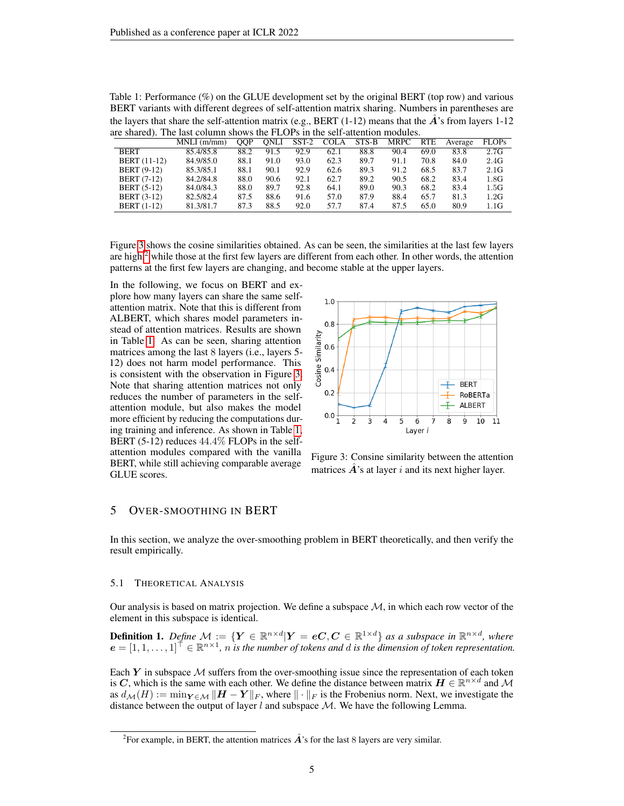<span id="page-4-2"></span>

| Table 1: Performance $(\%)$ on the GLUE development set by the original BERT (top row) and various       |
|----------------------------------------------------------------------------------------------------------|
| BERT variants with different degrees of self-attention matrix sharing. Numbers in parentheses are        |
| the layers that share the self-attention matrix (e.g., BERT $(1-12)$ means that the A's from layers 1-12 |
| are shared). The last column shows the FLOPs in the self-attention modules.                              |

|                     | $MNLI$ (m/mm) | OOP  | ONLI | $SST-2$ | <b>COLA</b> | STS-B | <b>MRPC</b> | <b>RTE</b> | Average | <b>FLOPs</b>    |
|---------------------|---------------|------|------|---------|-------------|-------|-------------|------------|---------|-----------------|
| <b>BERT</b>         | 85.4/85.8     | 88.2 | 91.5 | 92.9    | 62.1        | 88.8  | 90.4        | 69.0       | 83.8    | 2.7G            |
| <b>BERT</b> (11-12) | 84.9/85.0     | 88.1 | 91.0 | 93.0    | 62.3        | 89.7  | 91.1        | 70.8       | 84.0    | 2.4G            |
| <b>BERT</b> (9-12)  | 85.3/85.1     | 88.1 | 90.1 | 92.9    | 62.6        | 89.3  | 91.2        | 68.5       | 83.7    | 2.1G            |
| <b>BERT</b> (7-12)  | 84.2/84.8     | 88.0 | 90.6 | 92.1    | 62.7        | 89.2  | 90.5        | 68.2       | 83.4    | 1.8G            |
| <b>BERT</b> (5-12)  | 84.0/84.3     | 88.0 | 89.7 | 92.8    | 64.1        | 89.0  | 90.3        | 68.2       | 83.4    | $1.5\mathrm{G}$ |
| <b>BERT</b> (3-12)  | 82.5/82.4     | 87.5 | 88.6 | 91.6    | 57.0        | 87.9  | 88.4        | 65.7       | 81.3    | 1.2G            |
| <b>BERT</b> (1-12)  | 81.3/81.7     | 87.3 | 88.5 | 92.0    | 57.7        | 87.4  | 87.5        | 65.0       | 80.9    | 1.1G            |

Figure [3](#page-4-0) shows the cosine similarities obtained. As can be seen, the similarities at the last few layers are high, $^2$  $^2$  while those at the first few layers are different from each other. In other words, the attention patterns at the first few layers are changing, and become stable at the upper layers.

In the following, we focus on BERT and explore how many layers can share the same selfattention matrix. Note that this is different from ALBERT, which shares model parameters instead of attention matrices. Results are shown in Table [1.](#page-4-2) As can be seen, sharing attention matrices among the last 8 layers (i.e., layers 5- 12) does not harm model performance. This is consistent with the observation in Figure [3.](#page-4-0) Note that sharing attention matrices not only reduces the number of parameters in the selfattention module, but also makes the model more efficient by reducing the computations during training and inference. As shown in Table [1,](#page-4-2) BERT (5-12) reduces 44.4% FLOPs in the selfattention modules compared with the vanilla BERT, while still achieving comparable average GLUE scores.



<span id="page-4-0"></span>Figure 3: Consine similarity between the attention matrices  $\vec{A}$ 's at layer i and its next higher layer.

## 5 OVER-SMOOTHING IN BERT

In this section, we analyze the over-smoothing problem in BERT theoretically, and then verify the result empirically.

#### 5.1 THEORETICAL ANALYSIS

Our analysis is based on matrix projection. We define a subspace  $M$ , in which each row vector of the element in this subspace is identical.

**Definition 1.** Define  $\mathcal{M} := \{ Y \in \mathbb{R}^{n \times d} | Y = eC, C \in \mathbb{R}^{1 \times d} \}$  as a subspace in  $\mathbb{R}^{n \times d}$ , where  $e = [1, 1, \ldots, 1]^\dagger \in \mathbb{R}^{n \times 1}$ , *n* is the number of tokens and d is the dimension of token representation.

Each  $Y$  in subspace  $M$  suffers from the over-smoothing issue since the representation of each token is C, which is the same with each other. We define the distance between matrix  $H \in \mathbb{R}^{n \times d}$  and M as  $d_{\mathcal{M}}(H) := \min_{\mathbf{Y} \in \mathcal{M}} \|\mathbf{H} - \mathbf{Y}\|_F$ , where  $\|\cdot\|_F$  is the Frobenius norm. Next, we investigate the distance between the output of layer  $l$  and subspace  $M$ . We have the following Lemma.

<span id="page-4-1"></span><sup>&</sup>lt;sup>2</sup> For example, in BERT, the attention matrices  $\hat{A}$ 's for the last 8 layers are very similar.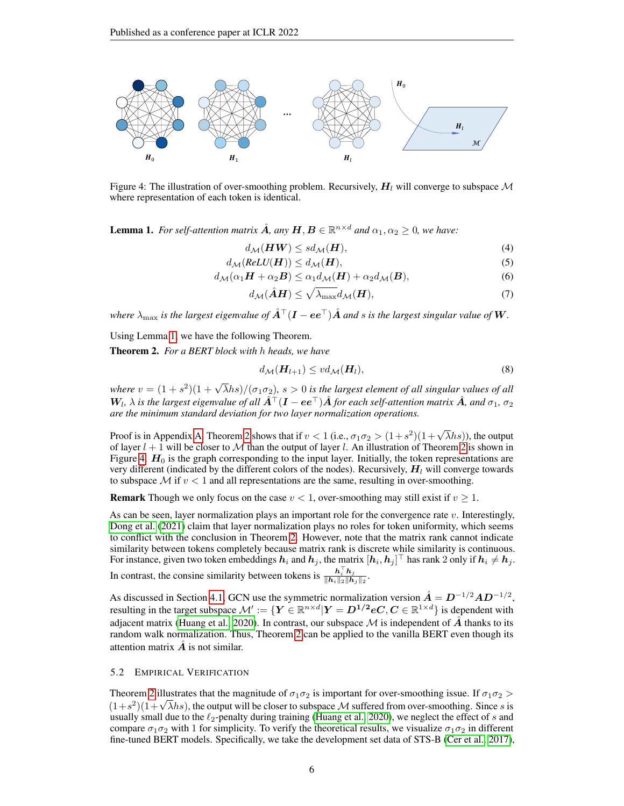

<span id="page-5-2"></span>Figure 4: The illustration of over-smoothing problem. Recursively,  $H<sub>l</sub>$  will converge to subspace M where representation of each token is identical.

<span id="page-5-0"></span>**Lemma 1.** For self-attention matrix  $\hat{A}$ , any  $H, B \in \mathbb{R}^{n \times d}$  and  $\alpha_1, \alpha_2 \ge 0$ , we have:

$$
d_{\mathcal{M}}(\boldsymbol{H}\boldsymbol{W}) \le sd_{\mathcal{M}}(\boldsymbol{H}),\tag{4}
$$

$$
d_{\mathcal{M}}(ReLU(\boldsymbol{H})) \leq d_{\mathcal{M}}(\boldsymbol{H}),
$$
\n(5)

$$
d_{\mathcal{M}}(\alpha_1 \boldsymbol{H} + \alpha_2 \boldsymbol{B}) \le \alpha_1 d_{\mathcal{M}}(\boldsymbol{H}) + \alpha_2 d_{\mathcal{M}}(\boldsymbol{B}),
$$
\n(6)

$$
d_{\mathcal{M}}(\hat{\mathbf{A}}\mathbf{H}) \le \sqrt{\lambda_{\max}} d_{\mathcal{M}}(\mathbf{H}),\tag{7}
$$

*where*  $\lambda_{\text{max}}$  *is the largest eigenvalue of*  $\hat{A}^{\top}(I - ee^{\top})\hat{A}$  *and s is the largest singular value of* W.

Using Lemma [1,](#page-5-0) we have the following Theorem.

<span id="page-5-1"></span>Theorem 2. *For a BERT block with* h *heads, we have*

$$
d_{\mathcal{M}}(\boldsymbol{H}_{l+1}) \leq v d_{\mathcal{M}}(\boldsymbol{H}_{l}),
$$
\n(8)

where  $v = (1 + s^2)(1 + \sqrt{\lambda}hs)/(\sigma_1 \sigma_2)$ ,  $s > 0$  is the largest element of all singular values of all  $W_l$ ,  $\lambda$  is the largest eigenvalue of all  $\hat{A}^\top (I-ee^\top)\hat{A}$  for each self-attention matrix  $\hat{A}$ , and  $\sigma_1$ ,  $\sigma_2$ *are the minimum standard deviation for two layer normalization operations.*

Proof is in Appendix [A.](#page-12-0) Theorem [2](#page-5-1) shows that if  $v < 1$  (i.e.,  $\sigma_1 \sigma_2 > (1+s^2)(1+\sqrt{\lambda}hs)$ ), the output of layer  $l + 1$  will be closer to M than the output of layer l. An illustration of Theorem [2](#page-5-1) is shown in Figure [4.](#page-5-2)  $H_0$  is the graph corresponding to the input layer. Initially, the token representations are very different (indicated by the different colors of the nodes). Recursively,  $H<sub>l</sub>$  will converge towards to subspace  $\mathcal M$  if  $v < 1$  and all representations are the same, resulting in over-smoothing.

**Remark** Though we only focus on the case  $v < 1$ , over-smoothing may still exist if  $v \ge 1$ .

As can be seen, layer normalization plays an important role for the convergence rate v. Interestingly, [Dong et al.](#page-9-5) [\(2021\)](#page-9-5) claim that layer normalization plays no roles for token uniformity, which seems to conflict with the conclusion in Theorem [2.](#page-5-1) However, note that the matrix rank cannot indicate similarity between tokens completely because matrix rank is discrete while similarity is continuous. For instance, given two token embeddings  $h_i$  and  $h_j$ , the matrix  $[h_i,h_j]^\top$  has rank 2 only if  $h_i\neq h_j.$ In contrast, the consine similarity between tokens is  $\frac{\mathbf{h}_i^{\mathrm{T}} \mathbf{h}_j}{\|\mathbf{h}_i\|_2 \|\mathbf{h}_j\|_2}$ .

As discussed in Section [4.1,](#page-3-1) GCN use the symmetric normalization version  $\hat{A} = D^{-1/2}AD^{-1/2}$ , resulting in the target subspace  $\mathcal{M}' := \{ Y \in \mathbb{R}^{n \times d} | Y = D^{1/2} eC, C \in \mathbb{R}^{1 \times d} \}$  is dependent with adjacent matrix [\(Huang et al., 2020\)](#page-9-12). In contrast, our subspace  $\mathcal M$  is independent of  $\hat A$  thanks to its random walk normalization. Thus, Theorem [2](#page-5-1) can be applied to the vanilla BERT even though its attention matrix  $\boldsymbol{A}$  is not similar.

## <span id="page-5-3"></span>5.2 EMPIRICAL VERIFICATION

Theorem [2](#page-5-1) illustrates that the magnitude of  $\sigma_1 \sigma_2$  is important for over-smoothing issue. If  $\sigma_1 \sigma_2$  > Theorem 2 mustrates that the magnitude of  $\sigma_1 \sigma_2$  is important for over-smoothing issue. If  $\sigma_1 \sigma_2 > (1+s^2)(1+\sqrt{\lambda}hs)$ , the output will be closer to subspace M suffered from over-smoothing. Since s is usually small due to the  $\ell_2$ -penalty during training [\(Huang et al., 2020\)](#page-9-12), we neglect the effect of s and compare  $\sigma_1\sigma_2$  with 1 for simplicity. To verify the theoretical results, we visualize  $\sigma_1\sigma_2$  in different fine-tuned BERT models. Specifically, we take the development set data of STS-B [\(Cer et al., 2017\)](#page-9-15),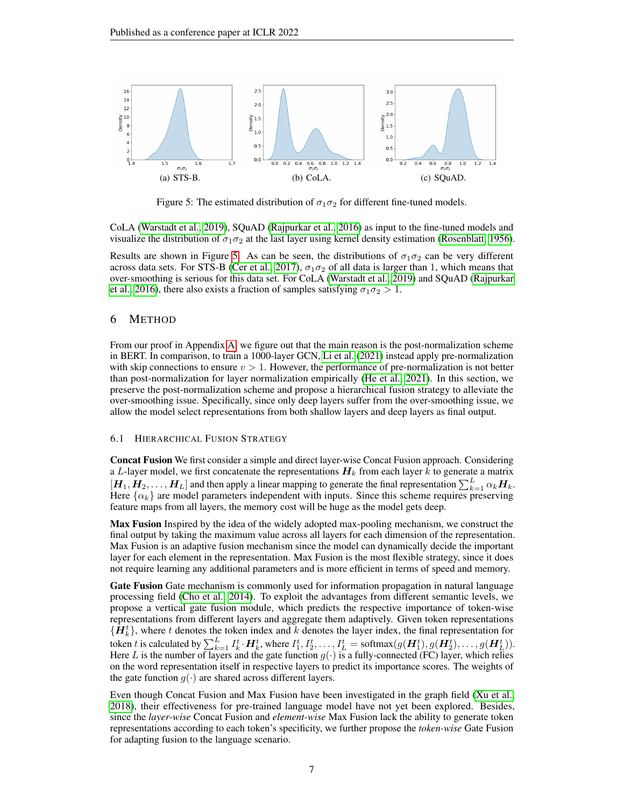

<span id="page-6-1"></span>Figure 5: The estimated distribution of  $\sigma_1 \sigma_2$  for different fine-tuned models.

CoLA [\(Warstadt et al., 2019\)](#page-10-15), SQuAD [\(Rajpurkar et al., 2016\)](#page-10-3) as input to the fine-tuned models and visualize the distribution of  $\sigma_1 \sigma_2$  at the last layer using kernel density estimation [\(Rosenblatt, 1956\)](#page-10-16).

Results are shown in Figure [5.](#page-6-1) As can be seen, the distributions of  $\sigma_1 \sigma_2$  can be very different across data sets. For STS-B [\(Cer et al., 2017\)](#page-9-15),  $\sigma_1 \sigma_2$  of all data is larger than 1, which means that over-smoothing is serious for this data set. For CoLA [\(Warstadt et al., 2019\)](#page-10-15) and SQuAD [\(Rajpurkar](#page-10-3) [et al., 2016\)](#page-10-3), there also exists a fraction of samples satisfying  $\sigma_1 \sigma_2 > 1$ .

## <span id="page-6-0"></span>6 METHOD

From our proof in Appendix [A,](#page-12-0) we figure out that the main reason is the post-normalization scheme in BERT. In comparison, to train a 1000-layer GCN, [Li et al.](#page-10-17) [\(2021\)](#page-10-17) instead apply pre-normalization with skip connections to ensure  $v > 1$ . However, the performance of pre-normalization is not better than post-normalization for layer normalization empirically [\(He et al., 2021\)](#page-9-16). In this section, we preserve the post-normalization scheme and propose a hierarchical fusion strategy to alleviate the over-smoothing issue. Specifically, since only deep layers suffer from the over-smoothing issue, we allow the model select representations from both shallow layers and deep layers as final output.

#### 6.1 HIERARCHICAL FUSION STRATEGY

Concat Fusion We first consider a simple and direct layer-wise Concat Fusion approach. Considering a L-layer model, we first concatenate the representations  $H_k$  from each layer k to generate a matrix  $[H_1, H_2, \ldots, H_L]$  and then apply a linear mapping to generate the final representation  $\sum_{k=1}^L \alpha_k H_k$ . Here  $\{\alpha_k\}$  are model parameters independent with inputs. Since this scheme requires preserving feature maps from all layers, the memory cost will be huge as the model gets deep.

Max Fusion Inspired by the idea of the widely adopted max-pooling mechanism, we construct the final output by taking the maximum value across all layers for each dimension of the representation. Max Fusion is an adaptive fusion mechanism since the model can dynamically decide the important layer for each element in the representation. Max Fusion is the most flexible strategy, since it does not require learning any additional parameters and is more efficient in terms of speed and memory.

Gate Fusion Gate mechanism is commonly used for information propagation in natural language processing field [\(Cho et al., 2014\)](#page-9-17). To exploit the advantages from different semantic levels, we propose a vertical gate fusion module, which predicts the respective importance of token-wise representations from different layers and aggregate them adaptively. Given token representations  $\{\bar{H}_k^t\}$ , where t denotes the token index and k denotes the layer index, the final representation for token  $t$  is calculated by  $\sum_{k=1}^L I_k^t\cdot \bm{H}_k^t$ , where  $I_1^t, I_2^t, \ldots, I_L^t = \text{softmax}(g(\bm{H}_1^t), g(\bm{H}_2^t), \ldots, g(\bm{H}_L^t)).$ Here L is the number of layers and the gate function  $g(\cdot)$  is a fully-connected (FC) layer, which relies on the word representation itself in respective layers to predict its importance scores. The weights of the gate function  $g(\cdot)$  are shared across different layers.

Even though Concat Fusion and Max Fusion have been investigated in the graph field [\(Xu et al.,](#page-11-1) [2018\)](#page-11-1), their effectiveness for pre-trained language model have not yet been explored. Besides, since the *layer-wise* Concat Fusion and *element-wise* Max Fusion lack the ability to generate token representations according to each token's specificity, we further propose the *token-wise* Gate Fusion for adapting fusion to the language scenario.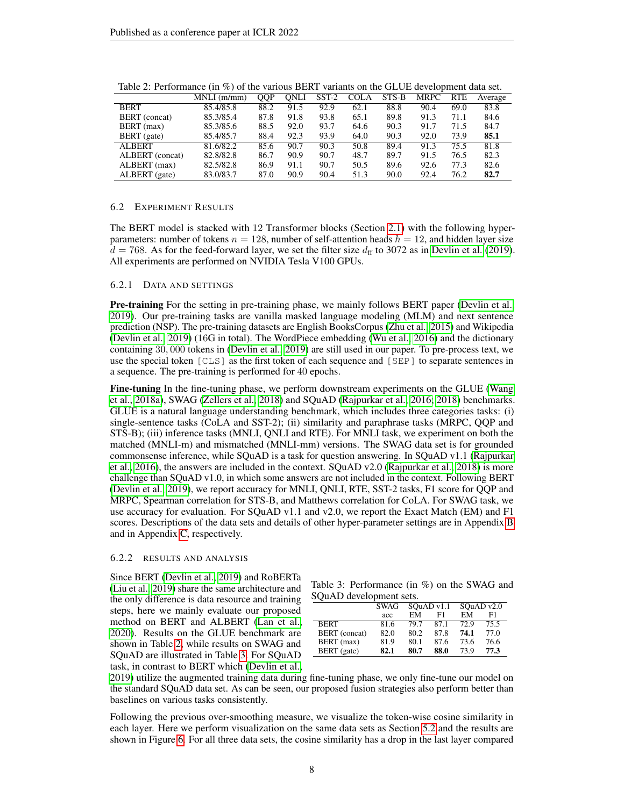|                      | $MNLI$ (m/mm) | OOP  | ONLI | $SST-2$ | <b>COLA</b> | STS-B | <b>MRPC</b> | <b>RTE</b> | Average |
|----------------------|---------------|------|------|---------|-------------|-------|-------------|------------|---------|
| <b>BERT</b>          | 85.4/85.8     | 88.2 | 91.5 | 92.9    | 62.1        | 88.8  | 90.4        | 69.0       | 83.8    |
| <b>BERT</b> (concat) | 85.3/85.4     | 87.8 | 91.8 | 93.8    | 65.1        | 89.8  | 91.3        | 71.1       | 84.6    |
| BERT (max)           | 85.3/85.6     | 88.5 | 92.0 | 93.7    | 64.6        | 90.3  | 91.7        | 71.5       | 84.7    |
| BERT (gate)          | 85.4/85.7     | 88.4 | 92.3 | 93.9    | 64.0        | 90.3  | 92.0        | 73.9       | 85.1    |
| <b>ALBERT</b>        | 81.6/82.2     | 85.6 | 90.7 | 90.3    | 50.8        | 89.4  | 91.3        | 75.5       | 81.8    |
| ALBERT (concat)      | 82.8/82.8     | 86.7 | 90.9 | 90.7    | 48.7        | 89.7  | 91.5        | 76.5       | 82.3    |
| ALBERT (max)         | 82.5/82.8     | 86.9 | 91.1 | 90.7    | 50.5        | 89.6  | 92.6        | 77.3       | 82.6    |
| ALBERT (gate)        | 83.0/83.7     | 87.0 | 90.9 | 90.4    | 51.3        | 90.0  | 92.4        | 76.2       | 82.7    |

<span id="page-7-0"></span>Table 2: Performance (in %) of the various BERT variants on the GLUE development data set.

#### 6.2 EXPERIMENT RESULTS

The BERT model is stacked with 12 Transformer blocks (Section [2.1\)](#page-1-3) with the following hyperparameters: number of tokens  $n = 128$ , number of self-attention heads  $h = 12$ , and hidden layer size  $d = 768$ . As for the feed-forward layer, we set the filter size  $d_f$  to 3072 as in [Devlin et al.](#page-9-3) [\(2019\)](#page-9-3). All experiments are performed on NVIDIA Tesla V100 GPUs.

#### 6.2.1 DATA AND SETTINGS

**Pre-training** For the setting in pre-training phase, we mainly follows BERT paper [\(Devlin et al.,](#page-9-3) [2019\)](#page-9-3). Our pre-training tasks are vanilla masked language modeling (MLM) and next sentence prediction (NSP). The pre-training datasets are English BooksCorpus [\(Zhu et al., 2015\)](#page-11-6) and Wikipedia [\(Devlin et al., 2019\)](#page-9-3) (16G in total). The WordPiece embedding [\(Wu et al., 2016\)](#page-11-7) and the dictionary containing 30, 000 tokens in [\(Devlin et al., 2019\)](#page-9-3) are still used in our paper. To pre-process text, we use the special token [CLS] as the first token of each sequence and [SEP] to separate sentences in a sequence. The pre-training is performed for 40 epochs.

Fine-tuning In the fine-tuning phase, we perform downstream experiments on the GLUE [\(Wang](#page-10-1) [et al., 2018a\)](#page-10-1), SWAG [\(Zellers et al., 2018\)](#page-11-3) and SQuAD [\(Rajpurkar et al., 2016;](#page-10-3) [2018\)](#page-10-4) benchmarks. GLUE is a natural language understanding benchmark, which includes three categories tasks: (i) single-sentence tasks (CoLA and SST-2); (ii) similarity and paraphrase tasks (MRPC, QQP and STS-B); (iii) inference tasks (MNLI, QNLI and RTE). For MNLI task, we experiment on both the matched (MNLI-m) and mismatched (MNLI-mm) versions. The SWAG data set is for grounded commonsense inference, while SQuAD is a task for question answering. In SQuAD v1.1 [\(Rajpurkar](#page-10-3) [et al., 2016\)](#page-10-3), the answers are included in the context. SQuAD v2.0 [\(Rajpurkar et al., 2018\)](#page-10-4) is more challenge than SQuAD v1.0, in which some answers are not included in the context. Following BERT [\(Devlin et al., 2019\)](#page-9-3), we report accuracy for MNLI, QNLI, RTE, SST-2 tasks, F1 score for QQP and MRPC, Spearman correlation for STS-B, and Matthews correlation for CoLA. For SWAG task, we use accuracy for evaluation. For SQuAD v1.1 and v2.0, we report the Exact Match (EM) and F1 scores. Descriptions of the data sets and details of other hyper-parameter settings are in Appendix [B](#page-13-0) and in Appendix [C,](#page-14-0) respectively.

#### 6.2.2 RESULTS AND ANALYSIS

Since BERT [\(Devlin et al., 2019\)](#page-9-3) and RoBERTa [\(Liu et al., 2019\)](#page-10-6) share the same architecture and the only difference is data resource and training steps, here we mainly evaluate our proposed method on BERT and ALBERT [\(Lan et al.,](#page-9-4) [2020\)](#page-9-4). Results on the GLUE benchmark are shown in Table [2,](#page-7-0) while results on SWAG and SQuAD are illustrated in Table [3.](#page-7-1) For SQuAD task, in contrast to BERT which [\(Devlin et al.,](#page-9-3)

<span id="page-7-1"></span>Table 3: Performance (in %) on the SWAG and SQuAD development sets.

|               | SWAG |      | SOuAD v1.1 | SOuAD v2.0 |      |  |
|---------------|------|------|------------|------------|------|--|
|               | acc  | EM   | F1         | EМ         | F1   |  |
| <b>BERT</b>   | 81.6 | 79.7 | 87.1       | 72.9       | 75.5 |  |
| BERT (concat) | 82.0 | 80.2 | 87.8       | 74.1       | 77.0 |  |
| BERT (max)    | 81.9 | 80.1 | 87.6       | 73.6       | 76.6 |  |
| BERT (gate)   | 82.1 | 80.7 | 88.0       | 73.9       | 77.3 |  |

[2019\)](#page-9-3) utilize the augmented training data during fine-tuning phase, we only fine-tune our model on the standard SQuAD data set. As can be seen, our proposed fusion strategies also perform better than baselines on various tasks consistently.

Following the previous over-smoothing measure, we visualize the token-wise cosine similarity in each layer. Here we perform visualization on the same data sets as Section [5.2](#page-5-3) and the results are shown in Figure [6.](#page-8-0) For all three data sets, the cosine similarity has a drop in the last layer compared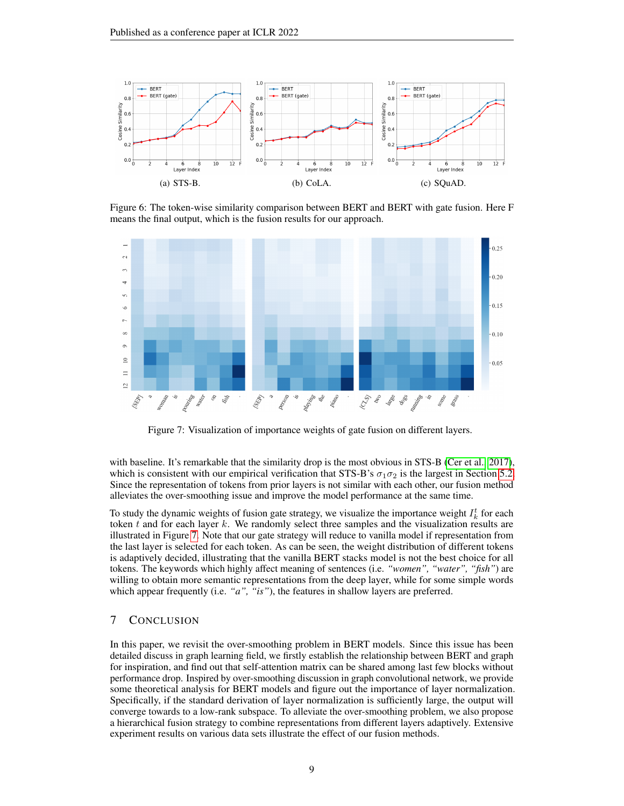

<span id="page-8-0"></span>Figure 6: The token-wise similarity comparison between BERT and BERT with gate fusion. Here F means the final output, which is the fusion results for our approach.



<span id="page-8-1"></span>Figure 7: Visualization of importance weights of gate fusion on different layers.

with baseline. It's remarkable that the similarity drop is the most obvious in STS-B [\(Cer et al., 2017\)](#page-9-15), which is consistent with our empirical verification that STS-B's  $\sigma_1 \sigma_2$  is the largest in Section [5.2.](#page-5-3) Since the representation of tokens from prior layers is not similar with each other, our fusion method alleviates the over-smoothing issue and improve the model performance at the same time.

To study the dynamic weights of fusion gate strategy, we visualize the importance weight  $I_k^t$  for each token  $t$  and for each layer  $k$ . We randomly select three samples and the visualization results are illustrated in Figure [7.](#page-8-1) Note that our gate strategy will reduce to vanilla model if representation from the last layer is selected for each token. As can be seen, the weight distribution of different tokens is adaptively decided, illustrating that the vanilla BERT stacks model is not the best choice for all tokens. The keywords which highly affect meaning of sentences (i.e. *"women", "water", "fish"*) are willing to obtain more semantic representations from the deep layer, while for some simple words which appear frequently (i.e. *"a"*, *"is"*), the features in shallow layers are preferred.

# 7 CONCLUSION

In this paper, we revisit the over-smoothing problem in BERT models. Since this issue has been detailed discuss in graph learning field, we firstly establish the relationship between BERT and graph for inspiration, and find out that self-attention matrix can be shared among last few blocks without performance drop. Inspired by over-smoothing discussion in graph convolutional network, we provide some theoretical analysis for BERT models and figure out the importance of layer normalization. Specifically, if the standard derivation of layer normalization is sufficiently large, the output will converge towards to a low-rank subspace. To alleviate the over-smoothing problem, we also propose a hierarchical fusion strategy to combine representations from different layers adaptively. Extensive experiment results on various data sets illustrate the effect of our fusion methods.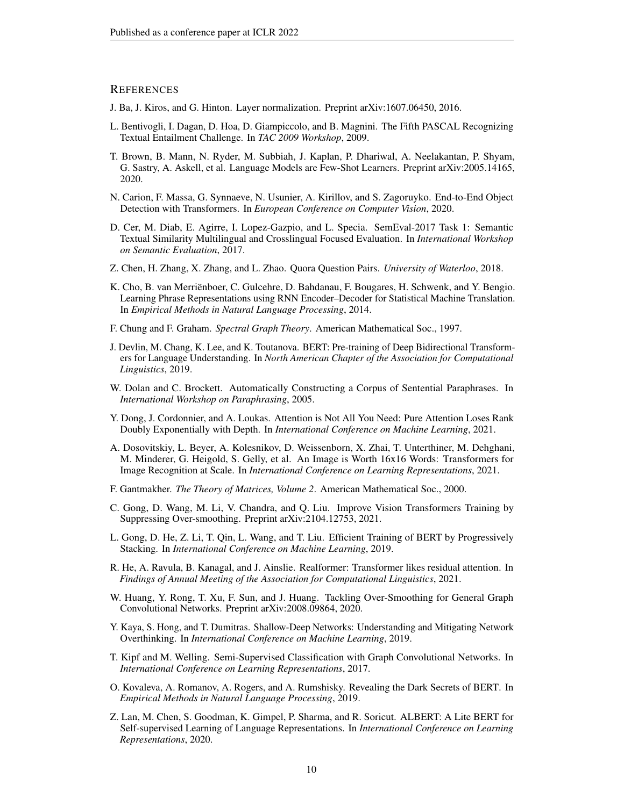## **REFERENCES**

- <span id="page-9-9"></span>J. Ba, J. Kiros, and G. Hinton. Layer normalization. Preprint arXiv:1607.06450, 2016.
- <span id="page-9-20"></span>L. Bentivogli, I. Dagan, D. Hoa, D. Giampiccolo, and B. Magnini. The Fifth PASCAL Recognizing Textual Entailment Challenge. In *TAC 2009 Workshop*, 2009.
- <span id="page-9-0"></span>T. Brown, B. Mann, N. Ryder, M. Subbiah, J. Kaplan, P. Dhariwal, A. Neelakantan, P. Shyam, G. Sastry, A. Askell, et al. Language Models are Few-Shot Learners. Preprint arXiv:2005.14165, 2020.
- <span id="page-9-2"></span>N. Carion, F. Massa, G. Synnaeve, N. Usunier, A. Kirillov, and S. Zagoruyko. End-to-End Object Detection with Transformers. In *European Conference on Computer Vision*, 2020.
- <span id="page-9-15"></span>D. Cer, M. Diab, E. Agirre, I. Lopez-Gazpio, and L. Specia. SemEval-2017 Task 1: Semantic Textual Similarity Multilingual and Crosslingual Focused Evaluation. In *International Workshop on Semantic Evaluation*, 2017.
- <span id="page-9-19"></span>Z. Chen, H. Zhang, X. Zhang, and L. Zhao. Quora Question Pairs. *University of Waterloo*, 2018.
- <span id="page-9-17"></span>K. Cho, B. van Merriënboer, C. Gulcehre, D. Bahdanau, F. Bougares, H. Schwenk, and Y. Bengio. Learning Phrase Representations using RNN Encoder–Decoder for Statistical Machine Translation. In *Empirical Methods in Natural Language Processing*, 2014.
- <span id="page-9-14"></span>F. Chung and F. Graham. *Spectral Graph Theory*. American Mathematical Soc., 1997.
- <span id="page-9-3"></span>J. Devlin, M. Chang, K. Lee, and K. Toutanova. BERT: Pre-training of Deep Bidirectional Transformers for Language Understanding. In *North American Chapter of the Association for Computational Linguistics*, 2019.
- <span id="page-9-13"></span>W. Dolan and C. Brockett. Automatically Constructing a Corpus of Sentential Paraphrases. In *International Workshop on Paraphrasing*, 2005.
- <span id="page-9-5"></span>Y. Dong, J. Cordonnier, and A. Loukas. Attention is Not All You Need: Pure Attention Loses Rank Doubly Exponentially with Depth. In *International Conference on Machine Learning*, 2021.
- <span id="page-9-1"></span>A. Dosovitskiy, L. Beyer, A. Kolesnikov, D. Weissenborn, X. Zhai, T. Unterthiner, M. Dehghani, M. Minderer, G. Heigold, S. Gelly, et al. An Image is Worth 16x16 Words: Transformers for Image Recognition at Scale. In *International Conference on Learning Representations*, 2021.
- <span id="page-9-18"></span>F. Gantmakher. *The Theory of Matrices, Volume 2*. American Mathematical Soc., 2000.
- <span id="page-9-6"></span>C. Gong, D. Wang, M. Li, V. Chandra, and Q. Liu. Improve Vision Transformers Training by Suppressing Over-smoothing. Preprint arXiv:2104.12753, 2021.
- <span id="page-9-10"></span>L. Gong, D. He, Z. Li, T. Qin, L. Wang, and T. Liu. Efficient Training of BERT by Progressively Stacking. In *International Conference on Machine Learning*, 2019.
- <span id="page-9-16"></span>R. He, A. Ravula, B. Kanagal, and J. Ainslie. Realformer: Transformer likes residual attention. In *Findings of Annual Meeting of the Association for Computational Linguistics*, 2021.
- <span id="page-9-12"></span>W. Huang, Y. Rong, T. Xu, F. Sun, and J. Huang. Tackling Over-Smoothing for General Graph Convolutional Networks. Preprint arXiv:2008.09864, 2020.
- <span id="page-9-7"></span>Y. Kaya, S. Hong, and T. Dumitras. Shallow-Deep Networks: Understanding and Mitigating Network Overthinking. In *International Conference on Machine Learning*, 2019.
- <span id="page-9-8"></span>T. Kipf and M. Welling. Semi-Supervised Classification with Graph Convolutional Networks. In *International Conference on Learning Representations*, 2017.
- <span id="page-9-11"></span>O. Kovaleva, A. Romanov, A. Rogers, and A. Rumshisky. Revealing the Dark Secrets of BERT. In *Empirical Methods in Natural Language Processing*, 2019.
- <span id="page-9-4"></span>Z. Lan, M. Chen, S. Goodman, K. Gimpel, P. Sharma, and R. Soricut. ALBERT: A Lite BERT for Self-supervised Learning of Language Representations. In *International Conference on Learning Representations*, 2020.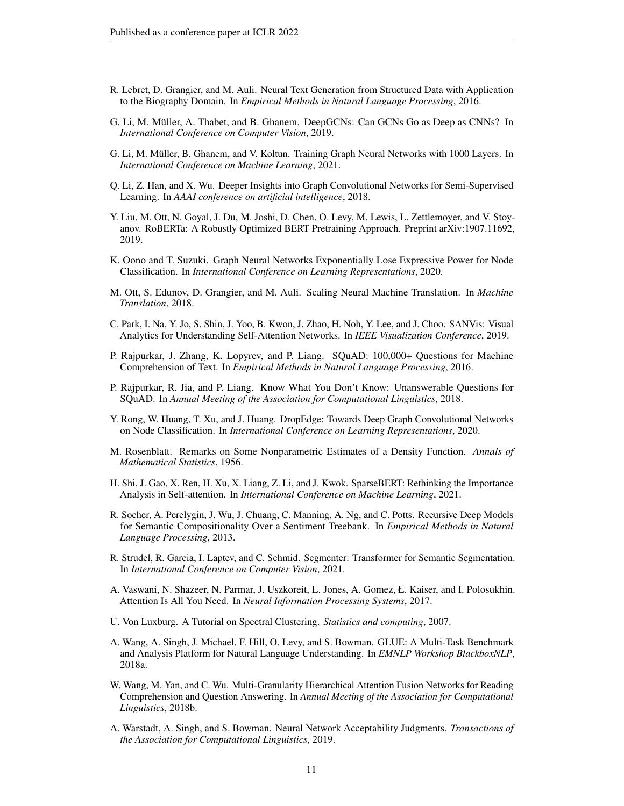- <span id="page-10-12"></span>R. Lebret, D. Grangier, and M. Auli. Neural Text Generation from Structured Data with Application to the Biography Domain. In *Empirical Methods in Natural Language Processing*, 2016.
- <span id="page-10-10"></span>G. Li, M. Müller, A. Thabet, and B. Ghanem. DeepGCNs: Can GCNs Go as Deep as CNNs? In *International Conference on Computer Vision*, 2019.
- <span id="page-10-17"></span>G. Li, M. Müller, B. Ghanem, and V. Koltun. Training Graph Neural Networks with 1000 Layers. In *International Conference on Machine Learning*, 2021.
- <span id="page-10-7"></span>Q. Li, Z. Han, and X. Wu. Deeper Insights into Graph Convolutional Networks for Semi-Supervised Learning. In *AAAI conference on artificial intelligence*, 2018.
- <span id="page-10-6"></span>Y. Liu, M. Ott, N. Goyal, J. Du, M. Joshi, D. Chen, O. Levy, M. Lewis, L. Zettlemoyer, and V. Stoyanov. RoBERTa: A Robustly Optimized BERT Pretraining Approach. Preprint arXiv:1907.11692, 2019.
- <span id="page-10-18"></span>K. Oono and T. Suzuki. Graph Neural Networks Exponentially Lose Expressive Power for Node Classification. In *International Conference on Learning Representations*, 2020.
- <span id="page-10-2"></span>M. Ott, S. Edunov, D. Grangier, and M. Auli. Scaling Neural Machine Translation. In *Machine Translation*, 2018.
- <span id="page-10-8"></span>C. Park, I. Na, Y. Jo, S. Shin, J. Yoo, B. Kwon, J. Zhao, H. Noh, Y. Lee, and J. Choo. SANVis: Visual Analytics for Understanding Self-Attention Networks. In *IEEE Visualization Conference*, 2019.
- <span id="page-10-3"></span>P. Rajpurkar, J. Zhang, K. Lopyrev, and P. Liang. SQuAD: 100,000+ Questions for Machine Comprehension of Text. In *Empirical Methods in Natural Language Processing*, 2016.
- <span id="page-10-4"></span>P. Rajpurkar, R. Jia, and P. Liang. Know What You Don't Know: Unanswerable Questions for SQuAD. In *Annual Meeting of the Association for Computational Linguistics*, 2018.
- <span id="page-10-11"></span>Y. Rong, W. Huang, T. Xu, and J. Huang. DropEdge: Towards Deep Graph Convolutional Networks on Node Classification. In *International Conference on Learning Representations*, 2020.
- <span id="page-10-16"></span>M. Rosenblatt. Remarks on Some Nonparametric Estimates of a Density Function. *Annals of Mathematical Statistics*, 1956.
- <span id="page-10-9"></span>H. Shi, J. Gao, X. Ren, H. Xu, X. Liang, Z. Li, and J. Kwok. SparseBERT: Rethinking the Importance Analysis in Self-attention. In *International Conference on Machine Learning*, 2021.
- <span id="page-10-14"></span>R. Socher, A. Perelygin, J. Wu, J. Chuang, C. Manning, A. Ng, and C. Potts. Recursive Deep Models for Semantic Compositionality Over a Sentiment Treebank. In *Empirical Methods in Natural Language Processing*, 2013.
- <span id="page-10-5"></span>R. Strudel, R. Garcia, I. Laptev, and C. Schmid. Segmenter: Transformer for Semantic Segmentation. In *International Conference on Computer Vision*, 2021.
- <span id="page-10-0"></span>A. Vaswani, N. Shazeer, N. Parmar, J. Uszkoreit, L. Jones, A. Gomez, Ł. Kaiser, and I. Polosukhin. Attention Is All You Need. In *Neural Information Processing Systems*, 2017.
- <span id="page-10-13"></span>U. Von Luxburg. A Tutorial on Spectral Clustering. *Statistics and computing*, 2007.
- <span id="page-10-1"></span>A. Wang, A. Singh, J. Michael, F. Hill, O. Levy, and S. Bowman. GLUE: A Multi-Task Benchmark and Analysis Platform for Natural Language Understanding. In *EMNLP Workshop BlackboxNLP*, 2018a.
- <span id="page-10-19"></span>W. Wang, M. Yan, and C. Wu. Multi-Granularity Hierarchical Attention Fusion Networks for Reading Comprehension and Question Answering. In *Annual Meeting of the Association for Computational Linguistics*, 2018b.
- <span id="page-10-15"></span>A. Warstadt, A. Singh, and S. Bowman. Neural Network Acceptability Judgments. *Transactions of the Association for Computational Linguistics*, 2019.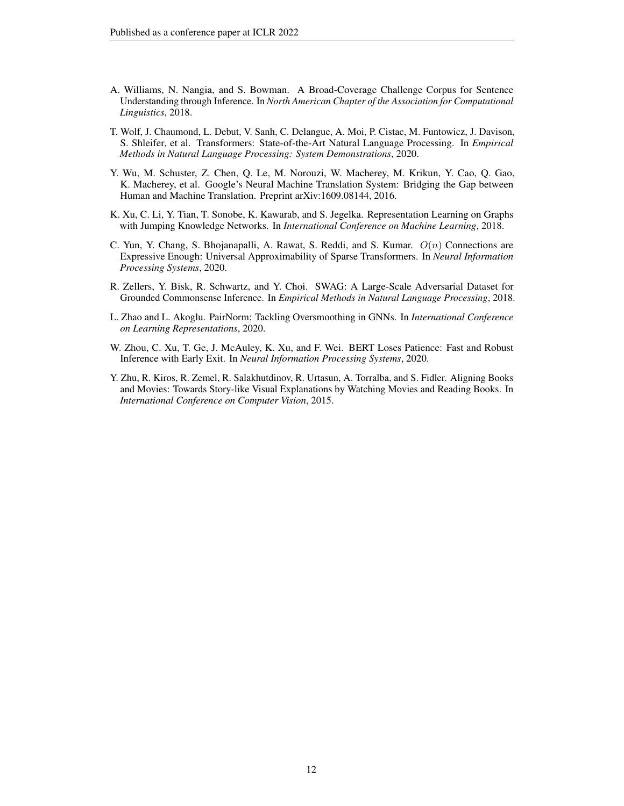- <span id="page-11-8"></span>A. Williams, N. Nangia, and S. Bowman. A Broad-Coverage Challenge Corpus for Sentence Understanding through Inference. In *North American Chapter of the Association for Computational Linguistics*, 2018.
- <span id="page-11-5"></span>T. Wolf, J. Chaumond, L. Debut, V. Sanh, C. Delangue, A. Moi, P. Cistac, M. Funtowicz, J. Davison, S. Shleifer, et al. Transformers: State-of-the-Art Natural Language Processing. In *Empirical Methods in Natural Language Processing: System Demonstrations*, 2020.
- <span id="page-11-7"></span>Y. Wu, M. Schuster, Z. Chen, Q. Le, M. Norouzi, W. Macherey, M. Krikun, Y. Cao, Q. Gao, K. Macherey, et al. Google's Neural Machine Translation System: Bridging the Gap between Human and Machine Translation. Preprint arXiv:1609.08144, 2016.
- <span id="page-11-1"></span>K. Xu, C. Li, Y. Tian, T. Sonobe, K. Kawarab, and S. Jegelka. Representation Learning on Graphs with Jumping Knowledge Networks. In *International Conference on Machine Learning*, 2018.
- <span id="page-11-4"></span>C. Yun, Y. Chang, S. Bhojanapalli, A. Rawat, S. Reddi, and S. Kumar.  $O(n)$  Connections are Expressive Enough: Universal Approximability of Sparse Transformers. In *Neural Information Processing Systems*, 2020.
- <span id="page-11-3"></span>R. Zellers, Y. Bisk, R. Schwartz, and Y. Choi. SWAG: A Large-Scale Adversarial Dataset for Grounded Commonsense Inference. In *Empirical Methods in Natural Language Processing*, 2018.
- <span id="page-11-2"></span>L. Zhao and L. Akoglu. PairNorm: Tackling Oversmoothing in GNNs. In *International Conference on Learning Representations*, 2020.
- <span id="page-11-0"></span>W. Zhou, C. Xu, T. Ge, J. McAuley, K. Xu, and F. Wei. BERT Loses Patience: Fast and Robust Inference with Early Exit. In *Neural Information Processing Systems*, 2020.
- <span id="page-11-6"></span>Y. Zhu, R. Kiros, R. Zemel, R. Salakhutdinov, R. Urtasun, A. Torralba, and S. Fidler. Aligning Books and Movies: Towards Story-like Visual Explanations by Watching Movies and Reading Books. In *International Conference on Computer Vision*, 2015.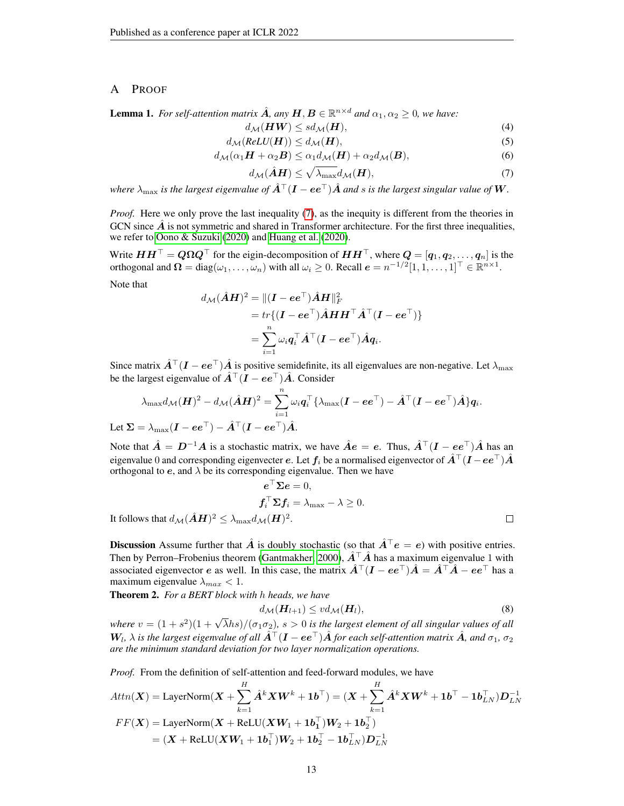## <span id="page-12-0"></span>A PROOF

**Lemma 1.** For self-attention matrix  $\hat{A}$ , any  $H, B \in \mathbb{R}^{n \times d}$  and  $\alpha_1, \alpha_2 \ge 0$ , we have:

$$
d_{\mathcal{M}}(\boldsymbol{H}\boldsymbol{W}) \le sd_{\mathcal{M}}(\boldsymbol{H}),\tag{4}
$$

$$
d_{\mathcal{M}}(ReLU(\boldsymbol{H})) \leq d_{\mathcal{M}}(\boldsymbol{H}),\tag{5}
$$

$$
d_{\mathcal{M}}(\alpha_1 \boldsymbol{H} + \alpha_2 \boldsymbol{B}) \le \alpha_1 d_{\mathcal{M}}(\boldsymbol{H}) + \alpha_2 d_{\mathcal{M}}(\boldsymbol{B}), \tag{6}
$$

<span id="page-12-1"></span>
$$
d_{\mathcal{M}}(\hat{\mathbf{A}}\mathbf{H}) \le \sqrt{\lambda_{\max}} d_{\mathcal{M}}(\mathbf{H}),\tag{7}
$$

*where*  $\lambda_{\max}$  *is the largest eigenvalue of*  $\hat{A}^{\top}(I - ee^{\top})\hat{A}$  *and s is the largest singular value of* W.

*Proof.* Here we only prove the last inequality [\(7\)](#page-12-1), as the inequity is different from the theories in GCN since  $\vec{A}$  is not symmetric and shared in Transformer architecture. For the first three inequalities, we refer to [Oono & Suzuki](#page-10-18) [\(2020\)](#page-10-18) and [Huang et al.](#page-9-12) [\(2020\)](#page-9-12).

Write  $HH^{\top} = Q\Omega Q^{\top}$  for the eigin-decomposition of  $HH^{\top}$ , where  $Q = [q_1, q_2, \ldots, q_n]$  is the orthogonal and  $\Omega = \text{diag}(\omega_1, \dots, \omega_n)$  with all  $\omega_i \geq 0$ . Recall  $e = n^{-1/2} [1, 1, \dots, 1]^\top \in \mathbb{R}^{n \times 1}$ .

Note that

$$
\begin{aligned} d_{\mathcal{M}}(\hat{\bm{A}}\bm{H})^2 &= \Vert (\bm{I}-\bm{e}\bm{e}^\top)\hat{\bm{A}}\bm{H}\Vert_F^2 \\ &= tr\{(\bm{I}-\bm{e}\bm{e}^\top)\hat{\bm{A}}\bm{H}\bm{H}^\top\hat{\bm{A}}^\top(\bm{I}-\bm{e}\bm{e}^\top)\} \\ &= \sum_{i=1}^n \omega_i \bm{q}_i^\top\hat{\bm{A}}^\top(\bm{I}-\bm{e}\bm{e}^\top)\hat{\bm{A}}\bm{q}_i. \end{aligned}
$$

Since matrix  $\hat{A}^{\top}(I - ee^{\top})\hat{A}$  is positive semidefinite, its all eigenvalues are non-negative. Let  $\lambda_{\text{max}}$ be the largest eigenvalue of  $\hat{A}^{\top}(I - ee^{\top})\hat{A}$ . Consider

$$
\lambda_{\max} d_{\mathcal{M}}(\boldsymbol{H})^2 - d_{\mathcal{M}}(\hat{\boldsymbol{A}}\boldsymbol{H})^2 = \sum_{i=1}^n \omega_i \boldsymbol{q}_i^\top \{ \lambda_{\max}(\boldsymbol{I} - e \boldsymbol{e}^\top) - \hat{\boldsymbol{A}}^\top (\boldsymbol{I} - e \boldsymbol{e}^\top) \hat{\boldsymbol{A}} \} \boldsymbol{q}_i.
$$
  
Let  $\boldsymbol{\Sigma} = \lambda_{\max}(\boldsymbol{I} - e \boldsymbol{e}^\top) - \hat{\boldsymbol{A}}^\top (\boldsymbol{I} - e \boldsymbol{e}^\top) \hat{\boldsymbol{A}}.$ 

 $T =$ 

Note that  $\hat{A} = D^{-1}A$  is a stochastic matrix, we have  $\hat{A}e = e$ . Thus,  $\hat{A}^{\top}(I - ee^{\top})\hat{A}$  has an eigenvalue 0 and corresponding eigenvecter e. Let  $f_i$  be a normalised eigenvector of  $\hat{A}^\top (I - ee^\top) \hat{A}$ orthogonal to  $e$ , and  $\lambda$  be its corresponding eigenvalue. Then we have

$$
\boldsymbol{e}^{\top}\boldsymbol{\Sigma}\boldsymbol{e}=0,\\ \boldsymbol{f}_{i}^{\top}\boldsymbol{\Sigma}\boldsymbol{f}_{i}=\lambda_{\max}-\lambda\geq0.\\ \text{It follows that } d_{\mathcal{M}}(\hat{\boldsymbol{A}}\boldsymbol{H})^{2}\leq\lambda_{\max}d_{\mathcal{M}}(\boldsymbol{H})^{2}.
$$

**Discussion** Assume further that  $\hat{A}$  is doubly stochastic (so that  $\hat{A}^{\top}e = e$ ) with positive entries. Then by Perron–Frobenius theorem [\(Gantmakher, 2000\)](#page-9-18),  $\hat{A}^\top \hat{A}$  has a maximum eigenvalue 1 with associated eigenvector e as well. In this case, the matrix  $\hat{A}^{\top}(I - ee^{\top})\hat{A} = \hat{A}^{\top}\hat{A} - ee^{\top}$  has a maximum eigenvalue  $\lambda_{max}$  < 1.

Theorem 2. *For a BERT block with* h *heads, we have*

$$
d_{\mathcal{M}}(\boldsymbol{H}_{l+1}) \leq v d_{\mathcal{M}}(\boldsymbol{H}_{l}),\tag{8}
$$

*where*  $v = (1 + s^2)(1 + \sqrt{\lambda}hs)/(\sigma_1 \sigma_2)$ ,  $s > 0$  is the largest element of all singular values of all  $W_l$ ,  $\lambda$  is the largest eigenvalue of all  $\hat{A}^\top (I-ee^\top)\hat{A}$  for each self-attention matrix  $\hat{A}$ , and  $\sigma_1$ ,  $\sigma_2$ *are the minimum standard deviation for two layer normalization operations.*

*Proof.* From the definition of self-attention and feed-forward modules, we have

$$
Attn(\boldsymbol{X}) = \text{LayerNorm}(\boldsymbol{X} + \sum_{k=1}^{H} \hat{\boldsymbol{A}}^k \boldsymbol{X} \boldsymbol{W}^k + \mathbf{1b}^{\top}) = (\boldsymbol{X} + \sum_{k=1}^{H} \hat{\boldsymbol{A}}^k \boldsymbol{X} \boldsymbol{W}^k + \mathbf{1b}^{\top} - \mathbf{1b}_{LN}^{\top}) \boldsymbol{D}_{LN}^{-1}
$$
  

$$
FF(\boldsymbol{X}) = \text{LayerNorm}(\boldsymbol{X} + \text{ReLU}(\boldsymbol{X}\boldsymbol{W}_1 + \mathbf{1b}_1^{\top})\boldsymbol{W}_2 + \mathbf{1b}_2^{\top})
$$
  

$$
= (\boldsymbol{X} + \text{ReLU}(\boldsymbol{X}\boldsymbol{W}_1 + \mathbf{1b}_1^{\top})\boldsymbol{W}_2 + \mathbf{1b}_2^{\top} - \mathbf{1b}_{LN}^{\top}) \boldsymbol{D}_{LN}^{-1}
$$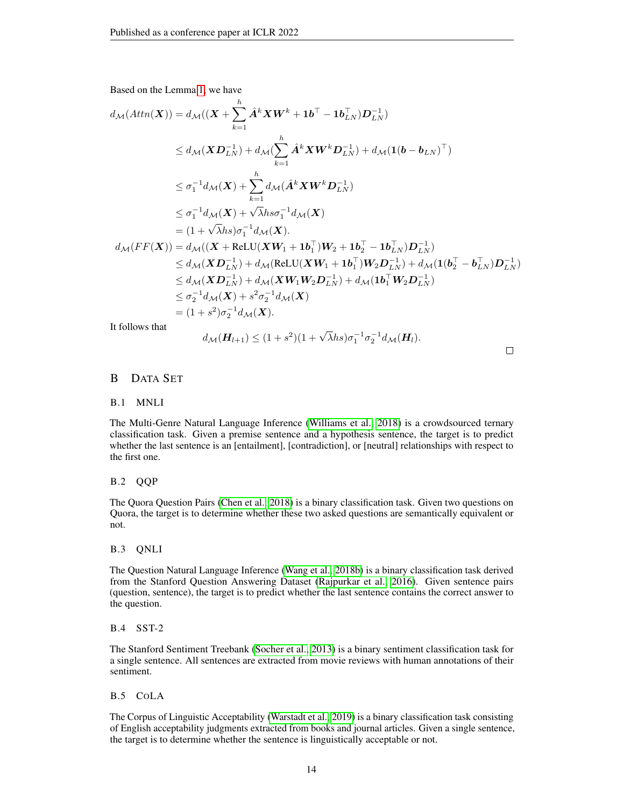Based on the Lemma [1,](#page-5-0) we have

$$
d_{\mathcal{M}}(Attn(\boldsymbol{X})) = d_{\mathcal{M}}((\boldsymbol{X} + \sum_{k=1}^{h} \hat{A}^{k} \boldsymbol{X} \boldsymbol{W}^{k} + \mathbf{1} \boldsymbol{b}^{\top} - \mathbf{1} \boldsymbol{b}_{LN}^{\top}) \boldsymbol{D}_{LN}^{-1})
$$
  
\n
$$
\leq d_{\mathcal{M}}(\boldsymbol{X} \boldsymbol{D}_{LN}^{-1}) + d_{\mathcal{M}}(\sum_{k=1}^{h} \hat{\boldsymbol{A}}^{k} \boldsymbol{X} \boldsymbol{W}^{k} \boldsymbol{D}_{LN}^{-1}) + d_{\mathcal{M}}(\mathbf{1}(\boldsymbol{b} - \boldsymbol{b}_{LN})^{\top})
$$
  
\n
$$
\leq \sigma_{1}^{-1} d_{\mathcal{M}}(\boldsymbol{X}) + \sum_{k=1}^{h} d_{\mathcal{M}}(\hat{\boldsymbol{A}}^{k} \boldsymbol{X} \boldsymbol{W}^{k} \boldsymbol{D}_{LN}^{-1})
$$
  
\n
$$
\leq \sigma_{1}^{-1} d_{\mathcal{M}}(\boldsymbol{X}) + \sqrt{\lambda} h s \sigma_{1}^{-1} d_{\mathcal{M}}(\boldsymbol{X})
$$
  
\n
$$
= (1 + \sqrt{\lambda} h s) \sigma_{1}^{-1} d_{\mathcal{M}}(\boldsymbol{X}).
$$
  
\n
$$
d_{\mathcal{M}}(FF(\boldsymbol{X})) = d_{\mathcal{M}}((\boldsymbol{X} + \text{ReLU}(\boldsymbol{X} \boldsymbol{W}_{1} + \mathbf{1} \boldsymbol{b}_{1}^{\top}) \boldsymbol{W}_{2} + \mathbf{1} \boldsymbol{b}_{2}^{\top} - \mathbf{1} \boldsymbol{b}_{LN}^{\top}) \boldsymbol{D}_{LN}^{-1})
$$
  
\n
$$
\leq d_{\mathcal{M}}(\boldsymbol{X} \boldsymbol{D}_{LN}^{-1}) + d_{\mathcal{M}}(\text{ReLU}(\boldsymbol{X} \boldsymbol{W}_{1} + \mathbf{1} \boldsymbol{b}_{1}^{\top}) \boldsymbol{W}_{2} \boldsymbol{D}_{LN}^{-1}) + d_{\mathcal{M}}(\mathbf{1} (\boldsymbol{b}_{2}^{\top} - \boldsymbol{b}_{LN}^{\top}) \boldsymbol{D}_{LN}^{-1})
$$
  
\n
$$
\leq d_{
$$

It follows that

$$
d_{\mathcal{M}}(\boldsymbol{H}_{l+1}) \leq (1+s^2)(1+\sqrt{\lambda}hs)\sigma_1^{-1}\sigma_2^{-1}d_{\mathcal{M}}(\boldsymbol{H}_l).
$$

 $\Box$ 

## <span id="page-13-0"></span>B DATA SET

## B.1 MNLI

The Multi-Genre Natural Language Inference [\(Williams et al., 2018\)](#page-11-8) is a crowdsourced ternary classification task. Given a premise sentence and a hypothesis sentence, the target is to predict whether the last sentence is an [entailment], [contradiction], or [neutral] relationships with respect to the first one.

## B.2 QQP

The Quora Question Pairs [\(Chen et al., 2018\)](#page-9-19) is a binary classification task. Given two questions on Quora, the target is to determine whether these two asked questions are semantically equivalent or not.

#### B.3 QNLI

The Question Natural Language Inference [\(Wang et al., 2018b\)](#page-10-19) is a binary classification task derived from the Stanford Question Answering Dataset [\(Rajpurkar et al., 2016\)](#page-10-3). Given sentence pairs (question, sentence), the target is to predict whether the last sentence contains the correct answer to the question.

#### B.4 SST-2

The Stanford Sentiment Treebank [\(Socher et al., 2013\)](#page-10-14) is a binary sentiment classification task for a single sentence. All sentences are extracted from movie reviews with human annotations of their sentiment.

## B.5 COLA

The Corpus of Linguistic Acceptability [\(Warstadt et al., 2019\)](#page-10-15) is a binary classification task consisting of English acceptability judgments extracted from books and journal articles. Given a single sentence, the target is to determine whether the sentence is linguistically acceptable or not.